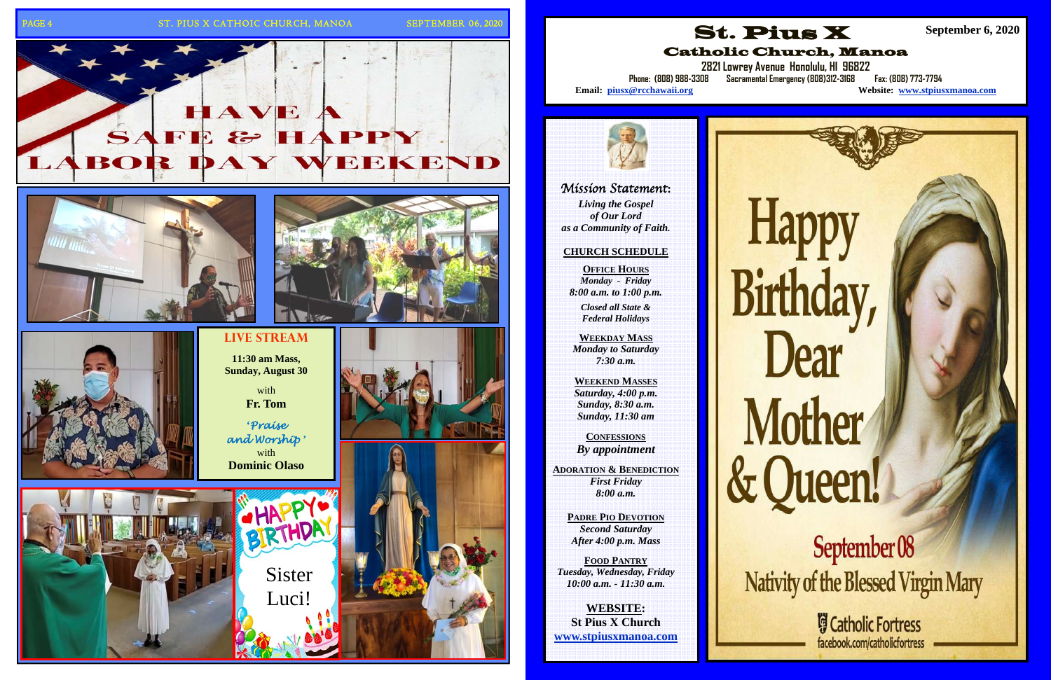## PAGE 4 ST. PIUS X CATHOIC CHURCH, MANOA SEPTEMBER 06, 2020



**11:30 am Mass,** 



with**Fr. Tom** 



**'***Praise* 

with

Sister

BIRTHD

Luci!









# Mission Statement**:**

*Living the Gospel of Our Lord as a Community of Faith.* 

## **CHURCH SCHEDULE**

**OFFICE HOURS***Monday - Friday 8:00 a.m. to 1:00 p.m.* 

> *Closed all State & Federal Holidays*

**WEEKDAY MASS**  *Monday to Saturday 7:30 a.m.* 

**WEEKEND MASSES**  *Saturday, 4:00 p.m. Sunday, 8:30 a.m. Sunday, 11:30 am* 

**CONFESSIONS***By appointment* 

**ADORATION & BENEDICTION** *First Friday 8:00 a.m.* 

**PADRE PIO DEVOTION***Second Saturday After 4:00 p.m. Mass* 

**FOOD PANTRY***Tuesday, Wednesday, Friday 10:00 a.m. - 11:30 a.m.* 

**WEBSITE: St Pius X Church www.stpiusxmanoa.com** 



**2821 Lowrey Avenue Honolulu, HI 96822** 

Website: www.stpiusxmanoa.com

# **Happy** Birthday, Dear Mother & Queen!

September 08 Nativity of the Blessed Virgin Mary

> **Gatholic Fortress** facebook.com/catholicfortress

Catholic Church, Manoa **Phone: (808) 988-3308 Sacramental Emergency (808)312-3168 Fax: (808) 773-7794** 

Email: piusx@rcchawaii.org



**September 6, 2020**